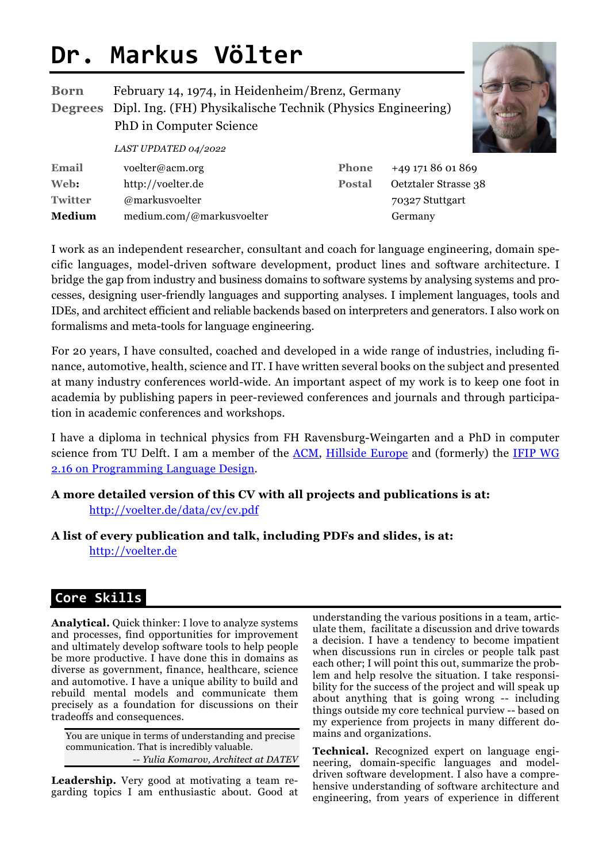# **Dr. Markus Völter**

**Twitter** @markusvoelter

**Medium** medium.com/@markusvoelter

| <b>Born</b> | February 14, 1974, in Heidenheim/Brenz, Germany<br><b>Degrees</b> Dipl. Ing. (FH) Physikalische Technik (Physics Engineering)<br><b>PhD</b> in Computer Science |               |                      |
|-------------|-----------------------------------------------------------------------------------------------------------------------------------------------------------------|---------------|----------------------|
|             | LAST UPDATED 04/2022                                                                                                                                            |               |                      |
| Email       | voelter@acm.org                                                                                                                                                 | <b>Phone</b>  | +49 171 86 01 869    |
| Web:        | http://voelter.de                                                                                                                                               | <b>Postal</b> | Oetztaler Strasse 38 |



I work as an independent researcher, consultant and coach for language engineering, domain specific languages, model-driven software development, product lines and software architecture. I bridge the gap from industry and business domains to software systems by analysing systems and processes, designing user-friendly languages and supporting analyses. I implement languages, tools and IDEs, and architect efficient and reliable backends based on interpreters and generators. I also work on formalisms and meta-tools for language engineering.

For 20 years, I have consulted, coached and developed in a wide range of industries, including finance, automotive, health, science and IT. I have written several books on the subject and presented at many industry conferences world-wide. An important aspect of my work is to keep one foot in academia by publishing papers in peer-reviewed conferences and journals and through participation in academic conferences and workshops.

I have a diploma in technical physics from FH Ravensburg-Weingarten and a PhD in computer science from TU Delft. I am a member of the ACM, Hillside Europe and (formerly) the IFIP WG 2.16 on Programming Language Design.

#### **A more detailed version of this CV with all projects and publications is at:**  http://voelter.de/data/cv/cv.pdf

**A list of every publication and talk, including PDFs and slides, is at:** http://voelter.de

# **Core Skills\_**

**Analytical.** Quick thinker: I love to analyze systems and processes, find opportunities for improvement and ultimately develop software tools to help people be more productive. I have done this in domains as diverse as government, finance, healthcare, science and automotive. I have a unique ability to build and rebuild mental models and communicate them precisely as a foundation for discussions on their tradeoffs and consequences.

You are unique in terms of understanding and precise communication. That is incredibly valuable. *-- Yulia Komarov, Architect at DATEV*

**Leadership.** Very good at motivating a team regarding topics I am enthusiastic about. Good at understanding the various positions in a team, articulate them, facilitate a discussion and drive towards a decision. I have a tendency to become impatient when discussions run in circles or people talk past each other; I will point this out, summarize the problem and help resolve the situation. I take responsibility for the success of the project and will speak up about anything that is going wrong -- including things outside my core technical purview -- based on my experience from projects in many different domains and organizations.

70327 Stuttgart

Germany

**Technical.** Recognized expert on language engineering, domain-specific languages and modeldriven software development. I also have a comprehensive understanding of software architecture and engineering, from years of experience in different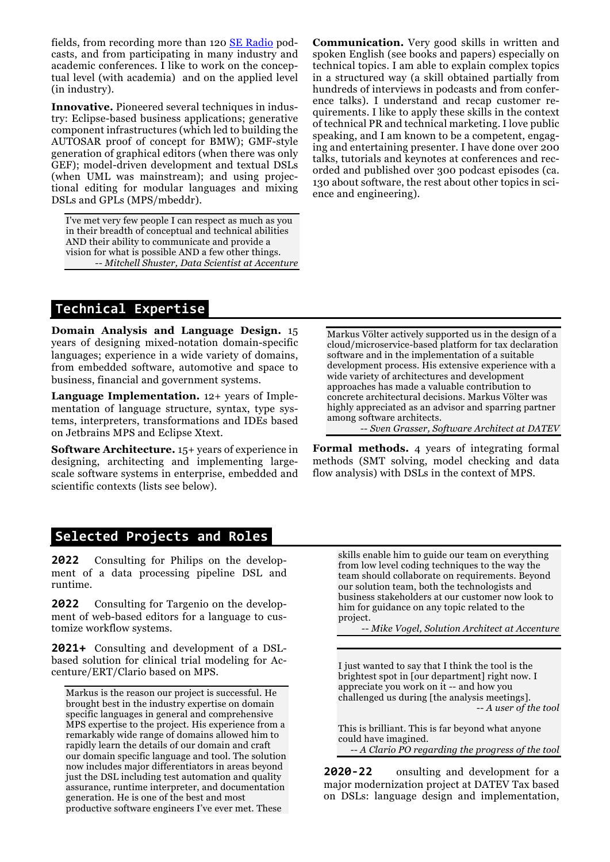fields, from recording more than 120 SE Radio podcasts, and from participating in many industry and academic conferences. I like to work on the conceptual level (with academia) and on the applied level (in industry).

**Innovative.** Pioneered several techniques in industry: Eclipse-based business applications; generative component infrastructures (which led to building the AUTOSAR proof of concept for BMW); GMF-style generation of graphical editors (when there was only GEF); model-driven development and textual DSLs (when UML was mainstream); and using projectional editing for modular languages and mixing DSLs and GPLs (MPS/mbeddr).

I've met very few people I can respect as much as you in their breadth of conceptual and technical abilities AND their ability to communicate and provide a vision for what is possible AND a few other things. *-- Mitchell Shuster, Data Scientist at Accenture* **Communication.** Very good skills in written and spoken English (see books and papers) especially on technical topics. I am able to explain complex topics in a structured way (a skill obtained partially from hundreds of interviews in podcasts and from conference talks). I understand and recap customer requirements. I like to apply these skills in the context of technical PR and technical marketing. I love public speaking, and I am known to be a competent, engaging and entertaining presenter. I have done over 200 talks, tutorials and keynotes at conferences and recorded and published over 300 podcast episodes (ca. 130 about software, the rest about other topics in science and engineering).

# **Technical Expertise\_**

**Domain Analysis and Language Design.** 15 years of designing mixed-notation domain-specific languages; experience in a wide variety of domains, from embedded software, automotive and space to business, financial and government systems.

**Language Implementation.** 12+ years of Implementation of language structure, syntax, type systems, interpreters, transformations and IDEs based on Jetbrains MPS and Eclipse Xtext.

**Software Architecture.** 15+ years of experience in designing, architecting and implementing largescale software systems in enterprise, embedded and scientific contexts (lists see below).

### **Selected Projects and Roles\_ \_**

**2022** Consulting for Philips on the development of a data processing pipeline DSL and runtime.

**2022** Consulting for Targenio on the development of web-based editors for a language to customize workflow systems.

**2021+** Consulting and development of a DSLbased solution for clinical trial modeling for Accenture/ERT/Clario based on MPS.

Markus is the reason our project is successful. He brought best in the industry expertise on domain specific languages in general and comprehensive MPS expertise to the project. His experience from a remarkably wide range of domains allowed him to rapidly learn the details of our domain and craft our domain specific language and tool. The solution now includes major differentiators in areas beyond just the DSL including test automation and quality assurance, runtime interpreter, and documentation generation. He is one of the best and most productive software engineers I've ever met. These

Markus Völter actively supported us in the design of a cloud/microservice-based platform for tax declaration software and in the implementation of a suitable development process. His extensive experience with a wide variety of architectures and development approaches has made a valuable contribution to concrete architectural decisions. Markus Völter was highly appreciated as an advisor and sparring partner among software architects.

*-- Sven Grasser, Software Architect at DATEV*

**Formal methods.** 4 years of integrating formal methods (SMT solving, model checking and data flow analysis) with DSLs in the context of MPS.

skills enable him to guide our team on everything from low level coding techniques to the way the team should collaborate on requirements. Beyond our solution team, both the technologists and business stakeholders at our customer now look to him for guidance on any topic related to the project.

*-- Mike Vogel, Solution Architect at Accenture*

I just wanted to say that I think the tool is the brightest spot in [our department] right now. I appreciate you work on it -- and how you challenged us during [the analysis meetings]. *-- A user of the tool*

This is brilliant. This is far beyond what anyone could have imagined. *-- A Clario PO regarding the progress of the tool*

**2020-22** onsulting and development for a major modernization project at DATEV Tax based on DSLs: language design and implementation,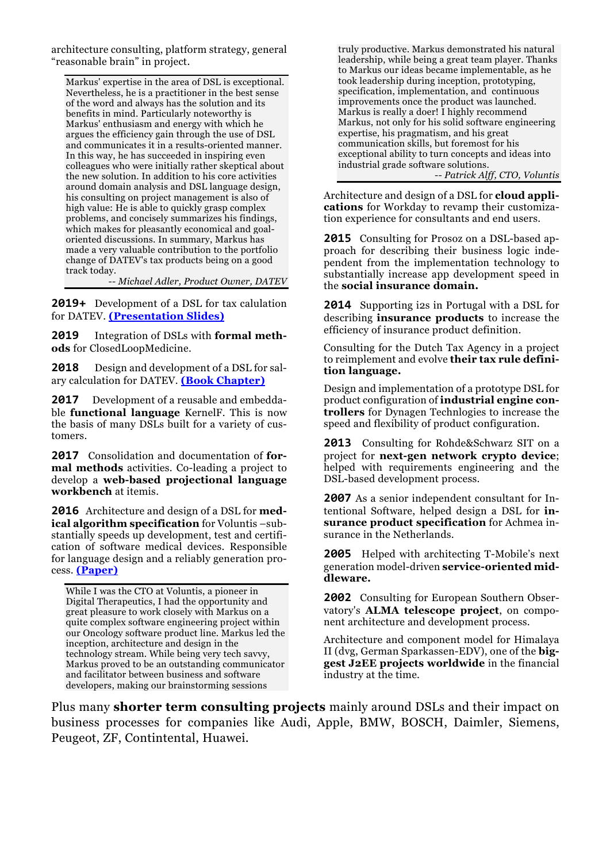architecture consulting, platform strategy, general "reasonable brain" in project.

Markus' expertise in the area of DSL is exceptional. Nevertheless, he is a practitioner in the best sense of the word and always has the solution and its benefits in mind. Particularly noteworthy is Markus' enthusiasm and energy with which he argues the efficiency gain through the use of DSL and communicates it in a results-oriented manner. In this way, he has succeeded in inspiring even colleagues who were initially rather skeptical about the new solution. In addition to his core activities around domain analysis and DSL language design, his consulting on project management is also of high value: He is able to quickly grasp complex problems, and concisely summarizes his findings, which makes for pleasantly economical and goaloriented discussions. In summary, Markus has made a very valuable contribution to the portfolio change of DATEV's tax products being on a good track today.

*-- Michael Adler, Product Owner, DATEV*

**2019+** Development of a DSL for tax calulation for DATEV. **(Presentation Slides)**

**2019** Integration of DSLs with **formal methods** for ClosedLoopMedicine.

**2018** Design and development of a DSL for salary calculation for DATEV. **(Book Chapter)**

**2017** Development of a reusable and embeddable **functional language** KernelF. This is now the basis of many DSLs built for a variety of customers.

**2017** Consolidation and documentation of **formal methods** activities. Co-leading a project to develop a **web-based projectional language workbench** at itemis.

**2016** Architecture and design of a DSL for **medical algorithm specification** for Voluntis –substantially speeds up development, test and certification of software medical devices. Responsible for language design and a reliably generation process. **(Paper)**

While I was the CTO at Voluntis, a pioneer in Digital Therapeutics, I had the opportunity and great pleasure to work closely with Markus on a quite complex software engineering project within our Oncology software product line. Markus led the inception, architecture and design in the technology stream. While being very tech savvy, Markus proved to be an outstanding communicator and facilitator between business and software developers, making our brainstorming sessions

truly productive. Markus demonstrated his natural leadership, while being a great team player. Thanks to Markus our ideas became implementable, as he took leadership during inception, prototyping, specification, implementation, and continuous improvements once the product was launched. Markus is really a doer! I highly recommend Markus, not only for his solid software engineering expertise, his pragmatism, and his great communication skills, but foremost for his exceptional ability to turn concepts and ideas into industrial grade software solutions. *-- Patrick Alff, CTO, Voluntis*

Architecture and design of a DSL for **cloud applications** for Workday to revamp their customization experience for consultants and end users.

**2015** Consulting for Prosoz on a DSL-based approach for describing their business logic independent from the implementation technology to substantially increase app development speed in the **social insurance domain.**

**2014** Supporting i2s in Portugal with a DSL for describing **insurance products** to increase the efficiency of insurance product definition.

Consulting for the Dutch Tax Agency in a project to reimplement and evolve **their tax rule definition language.** 

Design and implementation of a prototype DSL for product configuration of **industrial engine controllers** for Dynagen Technlogies to increase the speed and flexibility of product configuration.

**2013** Consulting for Rohde&Schwarz SIT on a project for **next-gen network crypto device**; helped with requirements engineering and the DSL-based development process.

**2007** As a senior independent consultant for Intentional Software, helped design a DSL for **insurance product specification** for Achmea insurance in the Netherlands.

**2005** Helped with architecting T-Mobile's next generation model-driven **service-oriented middleware.**

**2002** Consulting for European Southern Observatory's **ALMA telescope project**, on component architecture and development process.

Architecture and component model for Himalaya II (dvg, German Sparkassen-EDV), one of the **biggest J2EE projects worldwide** in the financial industry at the time.

Plus many **shorter term consulting projects** mainly around DSLs and their impact on business processes for companies like Audi, Apple, BMW, BOSCH, Daimler, Siemens, Peugeot, ZF, Contintental, Huawei.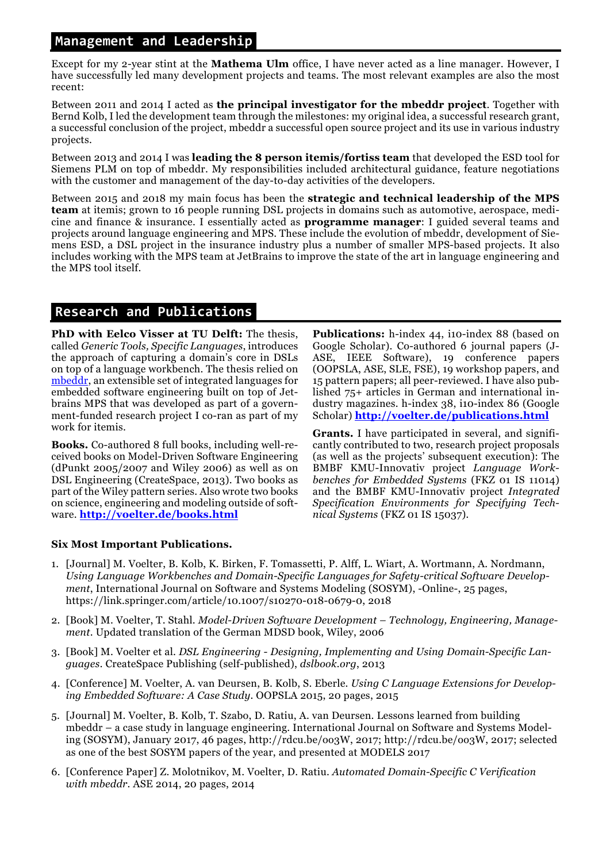#### **\_Management and Leadership\_**

Except for my 2-year stint at the **Mathema Ulm** office, I have never acted as a line manager. However, I have successfully led many development projects and teams. The most relevant examples are also the most recent:

Between 2011 and 2014 I acted as **the principal investigator for the mbeddr project**. Together with Bernd Kolb, I led the development team through the milestones: my original idea, a successful research grant, a successful conclusion of the project, mbeddr a successful open source project and its use in various industry projects.

Between 2013 and 2014 I was **leading the 8 person itemis/fortiss team** that developed the ESD tool for Siemens PLM on top of mbeddr. My responsibilities included architectural guidance, feature negotiations with the customer and management of the day-to-day activities of the developers.

Between 2015 and 2018 my main focus has been the **strategic and technical leadership of the MPS team** at itemis; grown to 16 people running DSL projects in domains such as automotive, aerospace, medicine and finance & insurance. I essentially acted as **programme manager**: I guided several teams and projects around language engineering and MPS. These include the evolution of mbeddr, development of Siemens ESD, a DSL project in the insurance industry plus a number of smaller MPS-based projects. It also includes working with the MPS team at JetBrains to improve the state of the art in language engineering and the MPS tool itself.

# **\_Research and Publications\_**

**PhD with Eelco Visser at TU Delft:** The thesis, called *Generic Tools, Specific Languages*, introduces the approach of capturing a domain's core in DSLs on top of a language workbench. The thesis relied on mbeddr, an extensible set of integrated languages for embedded software engineering built on top of Jetbrains MPS that was developed as part of a government-funded research project I co-ran as part of my work for itemis.

**Books.** Co-authored 8 full books, including well-received books on Model-Driven Software Engineering (dPunkt 2005/2007 and Wiley 2006) as well as on DSL Engineering (CreateSpace, 2013). Two books as part of the Wiley pattern series. Also wrote two books on science, engineering and modeling outside of software. **http://voelter.de/books.html**

**Publications:** h-index 44, i10-index 88 (based on Google Scholar). Co-authored 6 journal papers (J-ASE, IEEE Software), 19 conference papers (OOPSLA, ASE, SLE, FSE), 19 workshop papers, and 15 pattern papers; all peer-reviewed. I have also published 75+ articles in German and international industry magazines. h-index 38, i10-index 86 (Google Scholar) **http://voelter.de/publications.html**

**Grants.** I have participated in several, and significantly contributed to two, research project proposals (as well as the projects' subsequent execution): The BMBF KMU-Innovativ project *Language Workbenches for Embedded Systems* (FKZ 01 IS 11014) and the BMBF KMU-Innovativ project *Integrated Specification Environments for Specifying Technical Systems* (FKZ 01 IS 15037)*.*

#### **Six Most Important Publications.**

- 1. [Journal] M. Voelter, B. Kolb, K. Birken, F. Tomassetti, P. Alff, L. Wiart, A. Wortmann, A. Nordmann, *Using Language Workbenches and Domain-Specific Languages for Safety-critical Software Development*, International Journal on Software and Systems Modeling (SOSYM), -Online-, 25 pages, https://link.springer.com/article/10.1007/s10270-018-0679-0, 2018
- 2. [Book] M. Voelter, T. Stahl. *Model-Driven Software Development – Technology, Engineering, Management*. Updated translation of the German MDSD book, Wiley, 2006
- 3. [Book] M. Voelter et al. *DSL Engineering - Designing, Implementing and Using Domain-Specific Languages.* CreateSpace Publishing (self-published), *dslbook.org*, 2013
- 4. [Conference] M. Voelter, A. van Deursen, B. Kolb, S. Eberle. *Using C Language Extensions for Developing Embedded Software: A Case Study*. OOPSLA 2015, 20 pages, 2015
- 5. [Journal] M. Voelter, B. Kolb, T. Szabo, D. Ratiu, A. van Deursen. Lessons learned from building mbeddr – a case study in language engineering. International Journal on Software and Systems Modeling (SOSYM), January 2017, 46 pages, http://rdcu.be/oo3W, 2017; http://rdcu.be/oo3W, 2017; selected as one of the best SOSYM papers of the year, and presented at MODELS 2017
- 6. [Conference Paper] Z. Molotnikov, M. Voelter, D. Ratiu. *Automated Domain-Specific C Verification with mbeddr*. ASE 2014, 20 pages, 2014